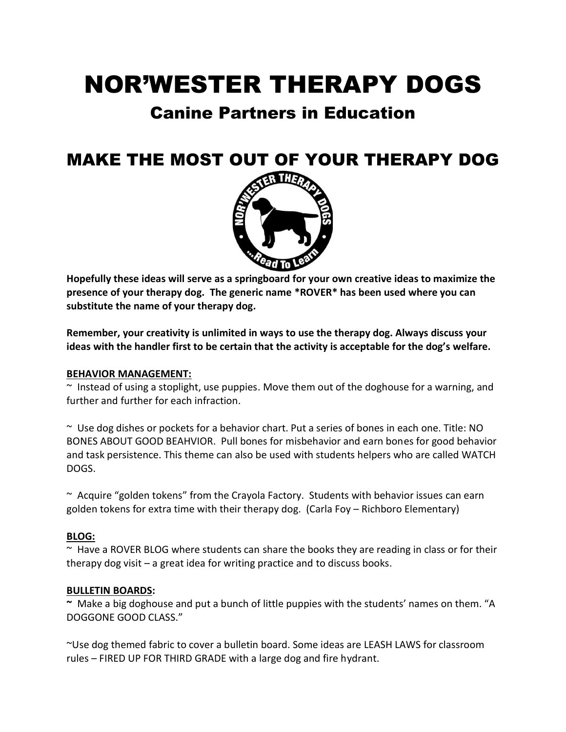# NOR'WESTER THERAPY DOGS

# Canine Partners in Education

# MAKE THE MOST OUT OF YOUR THERAPY DOG



**Hopefully these ideas will serve as a springboard for your own creative ideas to maximize the presence of your therapy dog. The generic name \*ROVER\* has been used where you can substitute the name of your therapy dog.**

**Remember, your creativity is unlimited in ways to use the therapy dog. Always discuss your ideas with the handler first to be certain that the activity is acceptable for the dog's welfare.** 

# **BEHAVIOR MANAGEMENT:**

 $\sim$  Instead of using a stoplight, use puppies. Move them out of the doghouse for a warning, and further and further for each infraction.

~ Use dog dishes or pockets for a behavior chart. Put a series of bones in each one. Title: NO BONES ABOUT GOOD BEAHVIOR. Pull bones for misbehavior and earn bones for good behavior and task persistence. This theme can also be used with students helpers who are called WATCH DOGS.

~ Acquire "golden tokens" from the Crayola Factory. Students with behavior issues can earn golden tokens for extra time with their therapy dog. (Carla Foy – Richboro Elementary)

# **BLOG:**

~ Have a ROVER BLOG where students can share the books they are reading in class or for their therapy dog visit – a great idea for writing practice and to discuss books.

#### **BULLETIN BOARDS:**

**~** Make a big doghouse and put a bunch of little puppies with the students' names on them. "A DOGGONE GOOD CLASS."

~Use dog themed fabric to cover a bulletin board. Some ideas are LEASH LAWS for classroom rules – FIRED UP FOR THIRD GRADE with a large dog and fire hydrant.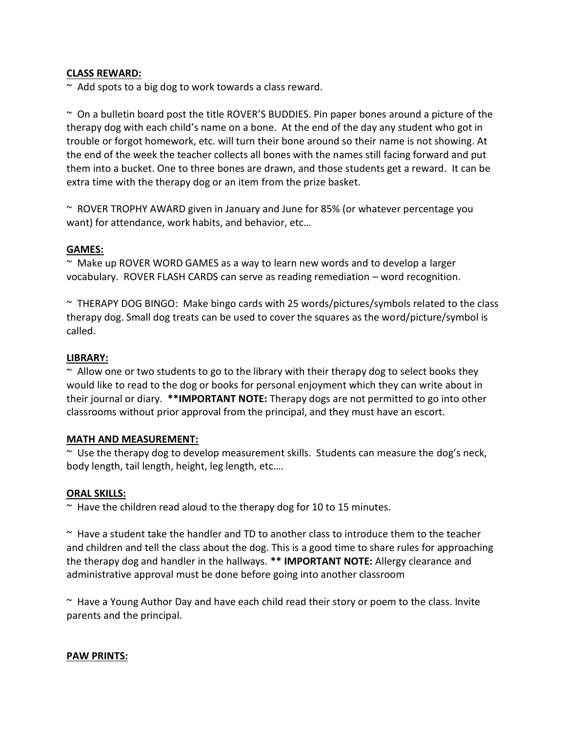# **CLASS REWARD:**

 $\sim$  Add spots to a big dog to work towards a class reward.

 $\sim$  On a bulletin board post the title ROVER'S BUDDIES. Pin paper bones around a picture of the therapy dog with each child's name on a bone. At the end of the day any student who got in trouble or forgot homework, etc. will turn their bone around so their name is not showing. At the end of the week the teacher collects all bones with the names still facing forward and put them into a bucket. One to three bones are drawn, and those students get a reward. It can be extra time with the therapy dog or an item from the prize basket.

~ ROVER TROPHY AWARD given in January and June for 85% (or whatever percentage you want) for attendance, work habits, and behavior, etc…

#### **GAMES:**

~ Make up ROVER WORD GAMES as a way to learn new words and to develop a larger vocabulary. ROVER FLASH CARDS can serve as reading remediation – word recognition.

 $\sim$  THERAPY DOG BINGO: Make bingo cards with 25 words/pictures/symbols related to the class therapy dog. Small dog treats can be used to cover the squares as the word/picture/symbol is called.

#### **LIBRARY:**

 $\sim$  Allow one or two students to go to the library with their therapy dog to select books they would like to read to the dog or books for personal enjoyment which they can write about in their journal or diary. **\*\*IMPORTANT NOTE:** Therapy dogs are not permitted to go into other classrooms without prior approval from the principal, and they must have an escort.

#### **MATH AND MEASUREMENT:**

~ Use the therapy dog to develop measurement skills. Students can measure the dog's neck, body length, tail length, height, leg length, etc….

#### **ORAL SKILLS:**

 $\sim$  Have the children read aloud to the therapy dog for 10 to 15 minutes.

~ Have a student take the handler and TD to another class to introduce them to the teacher and children and tell the class about the dog. This is a good time to share rules for approaching the therapy dog and handler in the hallways. **\*\* IMPORTANT NOTE:** Allergy clearance and administrative approval must be done before going into another classroom

 $\sim$  Have a Young Author Day and have each child read their story or poem to the class. Invite parents and the principal.

#### **PAW PRINTS:**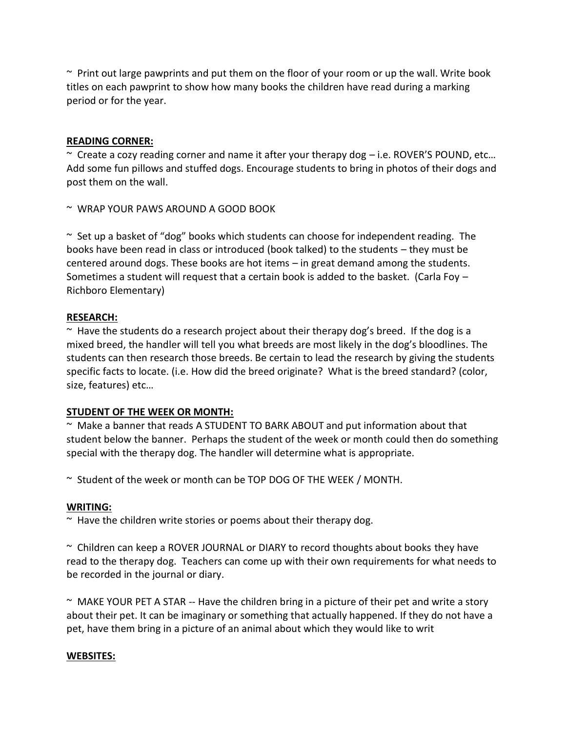$\sim$  Print out large pawprints and put them on the floor of your room or up the wall. Write book titles on each pawprint to show how many books the children have read during a marking period or for the year.

# **READING CORNER:**

 $\sim$  Create a cozy reading corner and name it after your therapy dog  $-$  i.e. ROVER'S POUND, etc... Add some fun pillows and stuffed dogs. Encourage students to bring in photos of their dogs and post them on the wall.

~ WRAP YOUR PAWS AROUND A GOOD BOOK

 $\sim$  Set up a basket of "dog" books which students can choose for independent reading. The books have been read in class or introduced (book talked) to the students – they must be centered around dogs. These books are hot items – in great demand among the students. Sometimes a student will request that a certain book is added to the basket. (Carla Foy  $-$ Richboro Elementary)

# **RESEARCH:**

 $\sim$  Have the students do a research project about their therapy dog's breed. If the dog is a mixed breed, the handler will tell you what breeds are most likely in the dog's bloodlines. The students can then research those breeds. Be certain to lead the research by giving the students specific facts to locate. (i.e. How did the breed originate? What is the breed standard? (color, size, features) etc…

# **STUDENT OF THE WEEK OR MONTH:**

 $\sim$  Make a banner that reads A STUDENT TO BARK ABOUT and put information about that student below the banner. Perhaps the student of the week or month could then do something special with the therapy dog. The handler will determine what is appropriate.

~ Student of the week or month can be TOP DOG OF THE WEEK / MONTH.

# **WRITING:**

 $\sim$  Have the children write stories or poems about their therapy dog.

~ Children can keep a ROVER JOURNAL or DIARY to record thoughts about books they have read to the therapy dog. Teachers can come up with their own requirements for what needs to be recorded in the journal or diary.

 $\sim$  MAKE YOUR PET A STAR  $-$  Have the children bring in a picture of their pet and write a story about their pet. It can be imaginary or something that actually happened. If they do not have a pet, have them bring in a picture of an animal about which they would like to writ

# **WEBSITES:**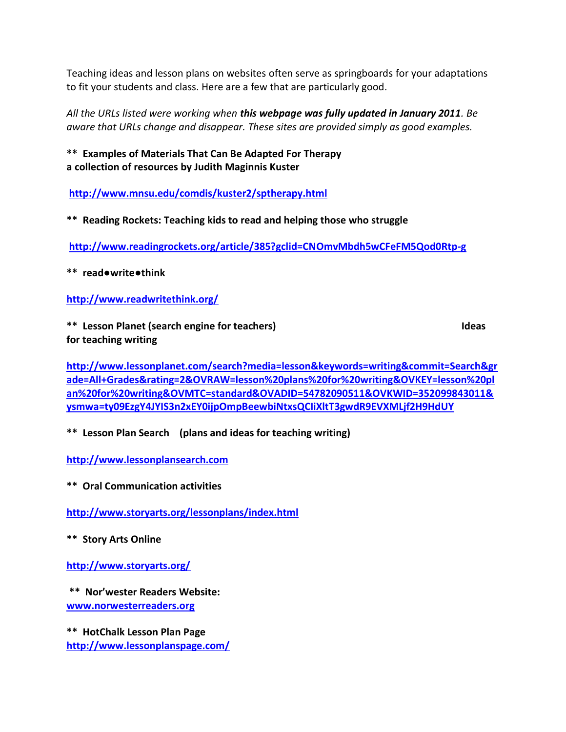Teaching ideas and lesson plans on websites often serve as springboards for your adaptations to fit your students and class. Here are a few that are particularly good.

*All the URLs listed were working when this webpage was fully updated in January 2011. Be aware that URLs change and disappear. These sites are provided simply as good examples.*

**\*\* Examples of Materials That Can Be Adapted For Therapy a collection of resources by Judith Maginnis Kuster** 

**<http://www.mnsu.edu/comdis/kuster2/sptherapy.html>**

**\*\* Reading Rockets: Teaching kids to read and helping those who struggle** 

**<http://www.readingrockets.org/article/385?gclid=CNOmvMbdh5wCFeFM5Qod0Rtp-g>**

**\*\* read●write●think**

**<http://www.readwritethink.org/>**

**\*\* Lesson Planet (search engine for teachers) Ideas for teaching writing**

**[http://www.lessonplanet.com/search?media=lesson&keywords=writing&commit=Search&gr](http://www.lessonplanet.com/search?media=lesson&keywords=writing&commit=Search&grade=All+Grades&rating=2&OVRAW=lesson%20plans%20for%20writing&OVKEY=lesson%20plan%20for%20writing&OVMTC=standard&OVADID=54782090511&OVKWID=352099843011&ysmwa=ty09EzgY4JYIS3n2xEY0ijpOmpBeewbiNtxsQCIiXltT3gwdR9EVXMLjf2H9HdUY) [ade=All+Grades&rating=2&OVRAW=lesson%20plans%20for%20writing&OVKEY=lesson%20pl](http://www.lessonplanet.com/search?media=lesson&keywords=writing&commit=Search&grade=All+Grades&rating=2&OVRAW=lesson%20plans%20for%20writing&OVKEY=lesson%20plan%20for%20writing&OVMTC=standard&OVADID=54782090511&OVKWID=352099843011&ysmwa=ty09EzgY4JYIS3n2xEY0ijpOmpBeewbiNtxsQCIiXltT3gwdR9EVXMLjf2H9HdUY) [an%20for%20writing&OVMTC=standard&OVADID=54782090511&OVKWID=352099843011&](http://www.lessonplanet.com/search?media=lesson&keywords=writing&commit=Search&grade=All+Grades&rating=2&OVRAW=lesson%20plans%20for%20writing&OVKEY=lesson%20plan%20for%20writing&OVMTC=standard&OVADID=54782090511&OVKWID=352099843011&ysmwa=ty09EzgY4JYIS3n2xEY0ijpOmpBeewbiNtxsQCIiXltT3gwdR9EVXMLjf2H9HdUY) [ysmwa=ty09EzgY4JYIS3n2xEY0ijpOmpBeewbiNtxsQCIiXltT3gwdR9EVXMLjf2H9HdUY](http://www.lessonplanet.com/search?media=lesson&keywords=writing&commit=Search&grade=All+Grades&rating=2&OVRAW=lesson%20plans%20for%20writing&OVKEY=lesson%20plan%20for%20writing&OVMTC=standard&OVADID=54782090511&OVKWID=352099843011&ysmwa=ty09EzgY4JYIS3n2xEY0ijpOmpBeewbiNtxsQCIiXltT3gwdR9EVXMLjf2H9HdUY)**

**\*\* Lesson Plan Search (plans and ideas for teaching writing)**

**[http://www.lessonplansearch.com](http://www.lessonplansearch.com/)**

**\*\* Oral Communication activities**

**<http://www.storyarts.org/lessonplans/index.html>**

**\*\* Story Arts Online**

**<http://www.storyarts.org/>**

**\*\* Nor'wester Readers Website: [www.norwesterreaders.org](http://www.norwesterreaders.org/)**

**\*\* HotChalk Lesson Plan Page <http://www.lessonplanspage.com/>**